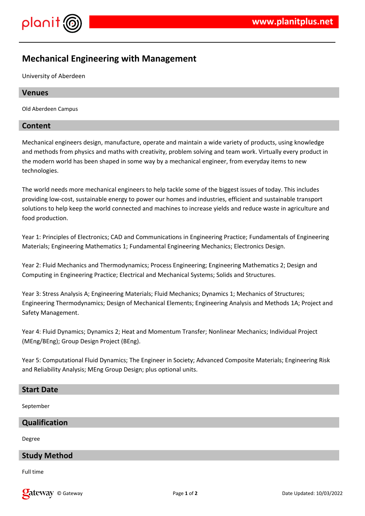

# **Mechanical Engineering with Management**

University of Aberdeen

# **Venues**

Old Aberdeen Campus

# **Content**

Mechanical engineers design, manufacture, operate and maintain a wide variety of products, using knowledge and methods from physics and maths with creativity, problem solving and team work. Virtually every product in the modern world has been shaped in some way by a mechanical engineer, from everyday items to new technologies.

The world needs more mechanical engineers to help tackle some of the biggest issues of today. This includes providing low-cost, sustainable energy to power our homes and industries, efficient and sustainable transport solutions to help keep the world connected and machines to increase yields and reduce waste in agriculture and food production.

Year 1: Principles of Electronics; CAD and Communications in Engineering Practice; Fundamentals of Engineering Materials; Engineering Mathematics 1; Fundamental Engineering Mechanics; Electronics Design.

Year 2: Fluid Mechanics and Thermodynamics; Process Engineering; Engineering Mathematics 2; Design and Computing in Engineering Practice; Electrical and Mechanical Systems; Solids and Structures.

Year 3: Stress Analysis A; Engineering Materials; Fluid Mechanics; Dynamics 1; Mechanics of Structures; Engineering Thermodynamics; Design of Mechanical Elements; Engineering Analysis and Methods 1A; Project and Safety Management.

Year 4: Fluid Dynamics; Dynamics 2; Heat and Momentum Transfer; Nonlinear Mechanics; Individual Project (MEng/BEng); Group Design Project (BEng).

Year 5: Computational Fluid Dynamics; The Engineer in Society; Advanced Composite Materials; Engineering Risk and Reliability Analysis; MEng Group Design; plus optional units.

#### **Start Date**

September

# **Qualification**

Degree

# **Study Method**

Full time